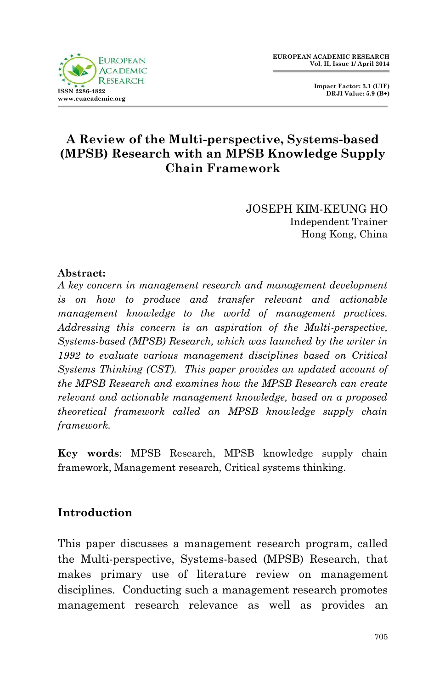

 **Impact Factor: 3.1 (UIF) DRJI Value: 5.9 (B+)**

# **A Review of the Multi-perspective, Systems-based (MPSB) Research with an MPSB Knowledge Supply Chain Framework**

JOSEPH KIM-KEUNG HO Independent Trainer Hong Kong, China

### **Abstract:**

*A key concern in management research and management development is on how to produce and transfer relevant and actionable management knowledge to the world of management practices. Addressing this concern is an aspiration of the Multi-perspective, Systems-based (MPSB) Research, which was launched by the writer in 1992 to evaluate various management disciplines based on Critical Systems Thinking (CST). This paper provides an updated account of the MPSB Research and examines how the MPSB Research can create relevant and actionable management knowledge, based on a proposed theoretical framework called an MPSB knowledge supply chain framework.*

**Key words**: MPSB Research, MPSB knowledge supply chain framework, Management research, Critical systems thinking.

### **Introduction**

This paper discusses a management research program, called the Multi-perspective, Systems-based (MPSB) Research, that makes primary use of literature review on management disciplines. Conducting such a management research promotes management research relevance as well as provides an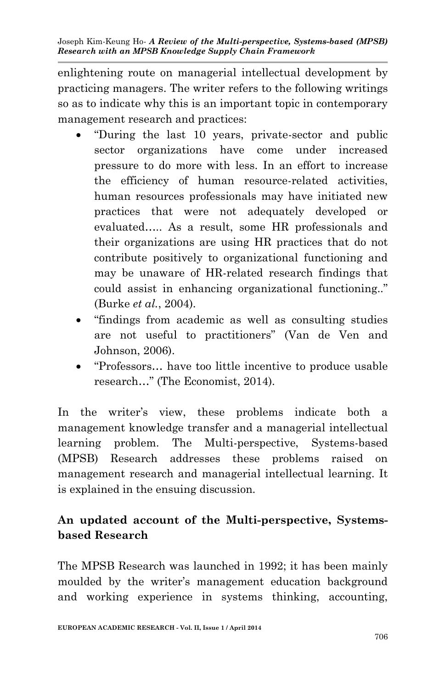enlightening route on managerial intellectual development by practicing managers. The writer refers to the following writings so as to indicate why this is an important topic in contemporary management research and practices:

- "During the last 10 years, private-sector and public sector organizations have come under increased pressure to do more with less. In an effort to increase the efficiency of human resource-related activities, human resources professionals may have initiated new practices that were not adequately developed or evaluated….. As a result, some HR professionals and their organizations are using HR practices that do not contribute positively to organizational functioning and may be unaware of HR-related research findings that could assist in enhancing organizational functioning.." (Burke *et al.*, 2004).
- "findings from academic as well as consulting studies are not useful to practitioners" (Van de Ven and Johnson, 2006).
- "Professors… have too little incentive to produce usable research…" (The Economist, 2014).

In the writer's view, these problems indicate both a management knowledge transfer and a managerial intellectual learning problem. The Multi-perspective, Systems-based (MPSB) Research addresses these problems raised on management research and managerial intellectual learning. It is explained in the ensuing discussion.

# **An updated account of the Multi-perspective, Systemsbased Research**

The MPSB Research was launched in 1992; it has been mainly moulded by the writer's management education background and working experience in systems thinking, accounting,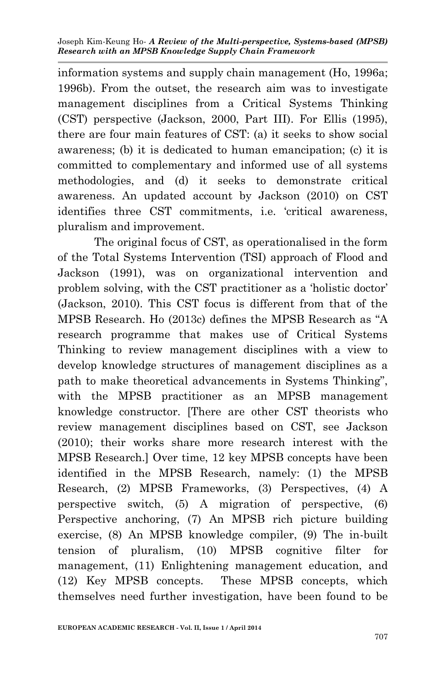information systems and supply chain management (Ho, 1996a; 1996b). From the outset, the research aim was to investigate management disciplines from a Critical Systems Thinking (CST) perspective (Jackson, 2000, Part III). For Ellis (1995), there are four main features of CST: (a) it seeks to show social awareness; (b) it is dedicated to human emancipation; (c) it is committed to complementary and informed use of all systems methodologies, and (d) it seeks to demonstrate critical awareness. An updated account by Jackson (2010) on CST identifies three CST commitments, i.e. 'critical awareness, pluralism and improvement.

The original focus of CST, as operationalised in the form of the Total Systems Intervention (TSI) approach of Flood and Jackson (1991), was on organizational intervention and problem solving, with the CST practitioner as a 'holistic doctor' (Jackson, 2010). This CST focus is different from that of the MPSB Research. Ho (2013c) defines the MPSB Research as "A research programme that makes use of Critical Systems Thinking to review management disciplines with a view to develop knowledge structures of management disciplines as a path to make theoretical advancements in Systems Thinking", with the MPSB practitioner as an MPSB management knowledge constructor. [There are other CST theorists who review management disciplines based on CST, see Jackson (2010); their works share more research interest with the MPSB Research.] Over time, 12 key MPSB concepts have been identified in the MPSB Research, namely: (1) the MPSB Research, (2) MPSB Frameworks, (3) Perspectives, (4) A perspective switch, (5) A migration of perspective, (6) Perspective anchoring, (7) An MPSB rich picture building exercise, (8) An MPSB knowledge compiler, (9) The in-built tension of pluralism, (10) MPSB cognitive filter for management, (11) Enlightening management education, and (12) Key MPSB concepts. These MPSB concepts, which themselves need further investigation, have been found to be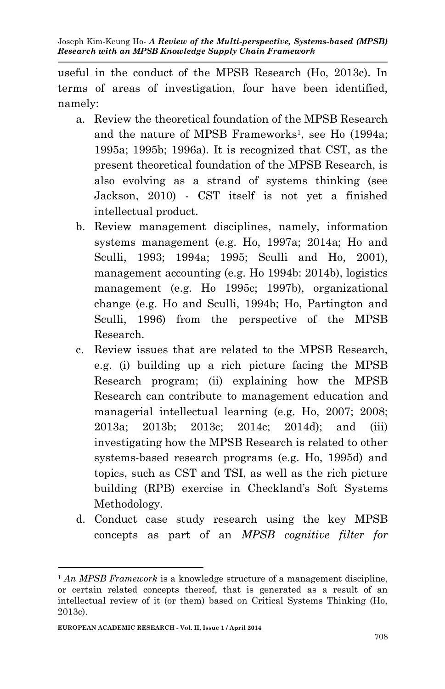useful in the conduct of the MPSB Research (Ho, 2013c). In terms of areas of investigation, four have been identified, namely:

- a. Review the theoretical foundation of the MPSB Research and the nature of MPSB Frameworks<sup>1</sup>, see Ho (1994a; 1995a; 1995b; 1996a). It is recognized that CST, as the present theoretical foundation of the MPSB Research, is also evolving as a strand of systems thinking (see Jackson, 2010) - CST itself is not yet a finished intellectual product.
- b. Review management disciplines, namely, information systems management (e.g. Ho, 1997a; 2014a; Ho and Sculli, 1993; 1994a; 1995; Sculli and Ho, 2001), management accounting (e.g. Ho 1994b: 2014b), logistics management (e.g. Ho 1995c; 1997b), organizational change (e.g. Ho and Sculli, 1994b; Ho, Partington and Sculli, 1996) from the perspective of the MPSB Research.
- c. Review issues that are related to the MPSB Research, e.g. (i) building up a rich picture facing the MPSB Research program; (ii) explaining how the MPSB Research can contribute to management education and managerial intellectual learning (e.g. Ho, 2007; 2008; 2013a; 2013b; 2013c; 2014c; 2014d); and (iii) investigating how the MPSB Research is related to other systems-based research programs (e.g. Ho, 1995d) and topics, such as CST and TSI, as well as the rich picture building (RPB) exercise in Checkland's Soft Systems Methodology.
- d. Conduct case study research using the key MPSB concepts as part of an *MPSB cognitive filter for*

**.** 

<sup>1</sup> *An MPSB Framework* is a knowledge structure of a management discipline, or certain related concepts thereof, that is generated as a result of an intellectual review of it (or them) based on Critical Systems Thinking (Ho, 2013c).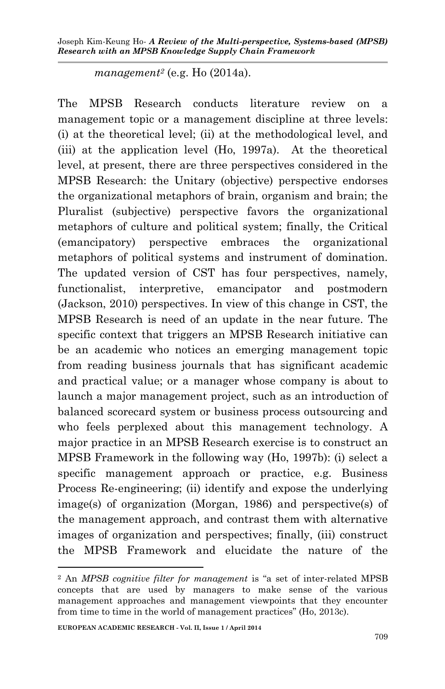*management<sup>2</sup>* (e.g. Ho (2014a).

The MPSB Research conducts literature review on a management topic or a management discipline at three levels: (i) at the theoretical level; (ii) at the methodological level, and (iii) at the application level (Ho, 1997a). At the theoretical level, at present, there are three perspectives considered in the MPSB Research: the Unitary (objective) perspective endorses the organizational metaphors of brain, organism and brain; the Pluralist (subjective) perspective favors the organizational metaphors of culture and political system; finally, the Critical (emancipatory) perspective embraces the organizational metaphors of political systems and instrument of domination. The updated version of CST has four perspectives, namely, functionalist, interpretive, emancipator and postmodern (Jackson, 2010) perspectives. In view of this change in CST, the MPSB Research is need of an update in the near future. The specific context that triggers an MPSB Research initiative can be an academic who notices an emerging management topic from reading business journals that has significant academic and practical value; or a manager whose company is about to launch a major management project, such as an introduction of balanced scorecard system or business process outsourcing and who feels perplexed about this management technology. A major practice in an MPSB Research exercise is to construct an MPSB Framework in the following way (Ho, 1997b): (i) select a specific management approach or practice, e.g. Business Process Re-engineering; (ii) identify and expose the underlying image(s) of organization (Morgan, 1986) and perspective(s) of the management approach, and contrast them with alternative images of organization and perspectives; finally, (iii) construct the MPSB Framework and elucidate the nature of the

**.** 

<sup>2</sup> An *MPSB cognitive filter for management* is "a set of inter-related MPSB concepts that are used by managers to make sense of the various management approaches and management viewpoints that they encounter from time to time in the world of management practices" (Ho, 2013c).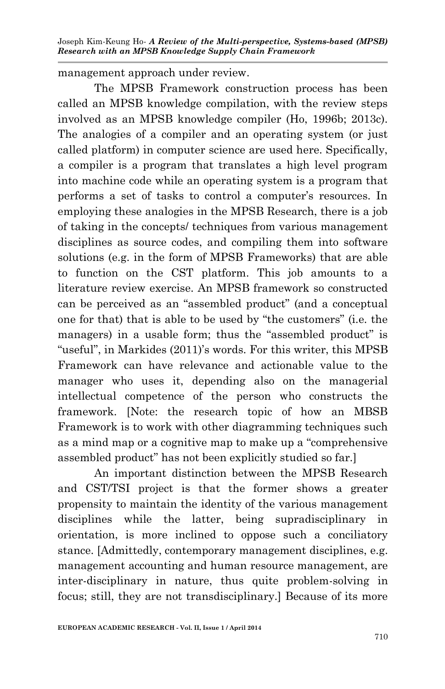management approach under review.

The MPSB Framework construction process has been called an MPSB knowledge compilation, with the review steps involved as an MPSB knowledge compiler (Ho, 1996b; 2013c). The analogies of a compiler and an operating system (or just called platform) in computer science are used here. Specifically, a compiler is a program that translates a high level program into machine code while an operating system is a program that performs a set of tasks to control a computer's resources. In employing these analogies in the MPSB Research, there is a job of taking in the concepts/ techniques from various management disciplines as source codes, and compiling them into software solutions (e.g. in the form of MPSB Frameworks) that are able to function on the CST platform. This job amounts to a literature review exercise. An MPSB framework so constructed can be perceived as an "assembled product" (and a conceptual one for that) that is able to be used by "the customers" (i.e. the managers) in a usable form; thus the "assembled product" is "useful", in Markides (2011)'s words. For this writer, this MPSB Framework can have relevance and actionable value to the manager who uses it, depending also on the managerial intellectual competence of the person who constructs the framework. [Note: the research topic of how an MBSB Framework is to work with other diagramming techniques such as a mind map or a cognitive map to make up a "comprehensive assembled product" has not been explicitly studied so far.]

An important distinction between the MPSB Research and CST/TSI project is that the former shows a greater propensity to maintain the identity of the various management disciplines while the latter, being supradisciplinary in orientation, is more inclined to oppose such a conciliatory stance. [Admittedly, contemporary management disciplines, e.g. management accounting and human resource management, are inter-disciplinary in nature, thus quite problem-solving in focus; still, they are not transdisciplinary.] Because of its more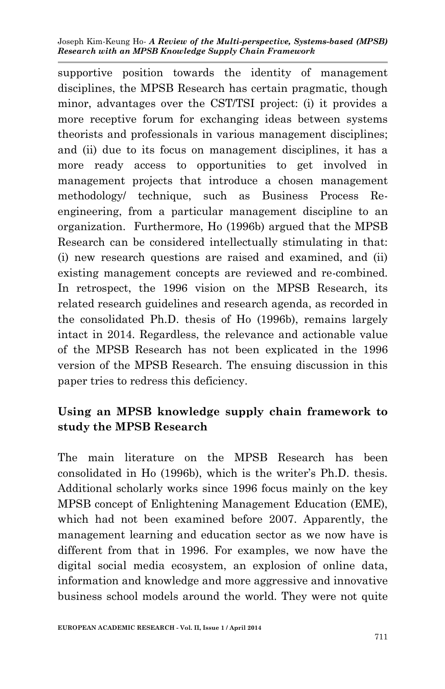supportive position towards the identity of management disciplines, the MPSB Research has certain pragmatic, though minor, advantages over the CST/TSI project: (i) it provides a more receptive forum for exchanging ideas between systems theorists and professionals in various management disciplines; and (ii) due to its focus on management disciplines, it has a more ready access to opportunities to get involved in management projects that introduce a chosen management methodology/ technique, such as Business Process Reengineering, from a particular management discipline to an organization. Furthermore, Ho (1996b) argued that the MPSB Research can be considered intellectually stimulating in that: (i) new research questions are raised and examined, and (ii) existing management concepts are reviewed and re-combined. In retrospect, the 1996 vision on the MPSB Research, its related research guidelines and research agenda, as recorded in the consolidated Ph.D. thesis of Ho (1996b), remains largely intact in 2014. Regardless, the relevance and actionable value of the MPSB Research has not been explicated in the 1996 version of the MPSB Research. The ensuing discussion in this paper tries to redress this deficiency.

# **Using an MPSB knowledge supply chain framework to study the MPSB Research**

The main literature on the MPSB Research has been consolidated in Ho (1996b), which is the writer's Ph.D. thesis. Additional scholarly works since 1996 focus mainly on the key MPSB concept of Enlightening Management Education (EME), which had not been examined before 2007. Apparently, the management learning and education sector as we now have is different from that in 1996. For examples, we now have the digital social media ecosystem, an explosion of online data, information and knowledge and more aggressive and innovative business school models around the world. They were not quite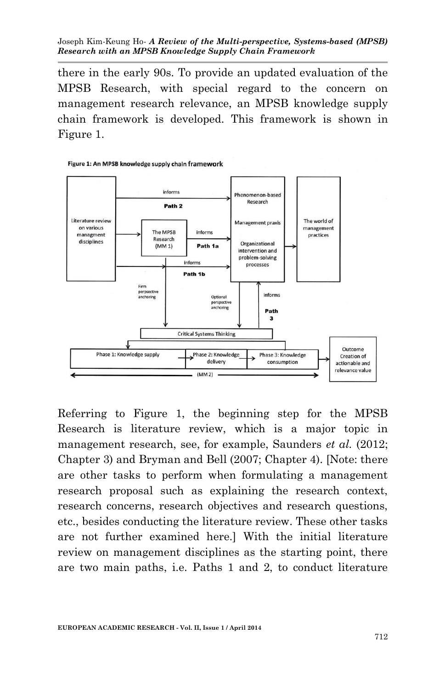there in the early 90s. To provide an updated evaluation of the MPSB Research, with special regard to the concern on management research relevance, an MPSB knowledge supply chain framework is developed. This framework is shown in Figure 1.



Figure 1: An MPSB knowledge supply chain framework

Referring to Figure 1, the beginning step for the MPSB Research is literature review, which is a major topic in management research, see, for example, Saunders *et al.* (2012; Chapter 3) and Bryman and Bell (2007; Chapter 4). [Note: there are other tasks to perform when formulating a management research proposal such as explaining the research context, research concerns, research objectives and research questions, etc., besides conducting the literature review. These other tasks are not further examined here.] With the initial literature review on management disciplines as the starting point, there are two main paths, i.e. Paths 1 and 2, to conduct literature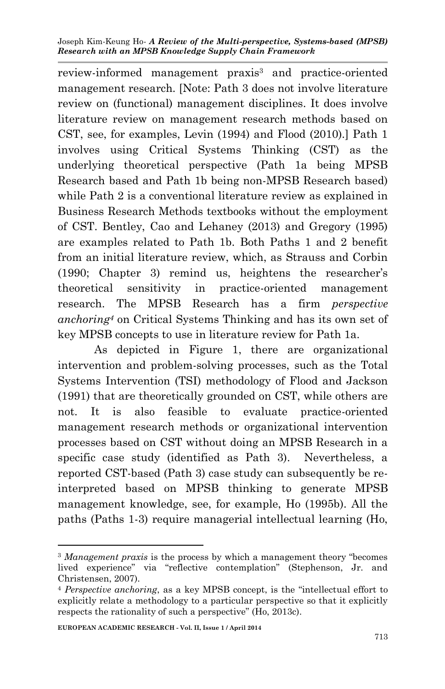review-informed management praxis<sup>3</sup> and practice-oriented management research. [Note: Path 3 does not involve literature review on (functional) management disciplines. It does involve literature review on management research methods based on CST, see, for examples, Levin (1994) and Flood (2010).] Path 1 involves using Critical Systems Thinking (CST) as the underlying theoretical perspective (Path 1a being MPSB Research based and Path 1b being non-MPSB Research based) while Path 2 is a conventional literature review as explained in Business Research Methods textbooks without the employment of CST. Bentley, Cao and Lehaney (2013) and Gregory (1995) are examples related to Path 1b. Both Paths 1 and 2 benefit from an initial literature review, which, as Strauss and Corbin (1990; Chapter 3) remind us, heightens the researcher's theoretical sensitivity in practice-oriented management research. The MPSB Research has a firm *perspective anchoring<sup>4</sup>* on Critical Systems Thinking and has its own set of key MPSB concepts to use in literature review for Path 1a.

As depicted in Figure 1, there are organizational intervention and problem-solving processes, such as the Total Systems Intervention (TSI) methodology of Flood and Jackson (1991) that are theoretically grounded on CST, while others are not. It is also feasible to evaluate practice-oriented management research methods or organizational intervention processes based on CST without doing an MPSB Research in a specific case study (identified as Path 3). Nevertheless, a reported CST-based (Path 3) case study can subsequently be reinterpreted based on MPSB thinking to generate MPSB management knowledge, see, for example, Ho (1995b). All the paths (Paths 1-3) require managerial intellectual learning (Ho,

**.** 

<sup>3</sup> *Management praxis* is the process by which a management theory "becomes lived experience" via "reflective contemplation" (Stephenson, Jr. and Christensen, 2007).

<sup>4</sup> *Perspective anchoring*, as a key MPSB concept, is the "intellectual effort to explicitly relate a methodology to a particular perspective so that it explicitly respects the rationality of such a perspective" (Ho, 2013c).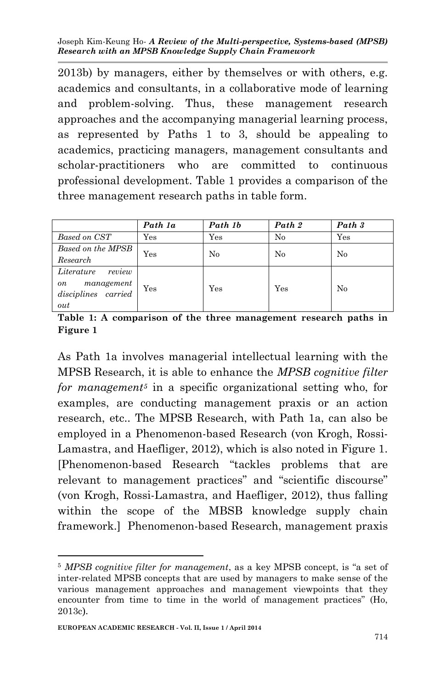2013b) by managers, either by themselves or with others, e.g. academics and consultants, in a collaborative mode of learning and problem-solving. Thus, these management research approaches and the accompanying managerial learning process, as represented by Paths 1 to 3, should be appealing to academics, practicing managers, management consultants and scholar-practitioners who are committed to continuous professional development. Table 1 provides a comparison of the three management research paths in table form.

|                                         | Path 1a      | Path 1b      | Path 2 | Path 3       |
|-----------------------------------------|--------------|--------------|--------|--------------|
| Based on CST                            | $_{\rm Yes}$ | $_{\rm Yes}$ | No     | $_{\rm Yes}$ |
| Based on the MPSB                       | Yes          | $\rm No$     | No     | No           |
| Research                                |              |              |        |              |
| Literature<br>review                    |              |              |        |              |
| management<br>on<br>disciplines carried | Yes          | $_{\rm Yes}$ | Yes    | No           |
| out                                     |              |              |        |              |

**Table 1: A comparison of the three management research paths in Figure 1**

As Path 1a involves managerial intellectual learning with the MPSB Research, it is able to enhance the *MPSB cognitive filter for management<sup>5</sup>* in a specific organizational setting who, for examples, are conducting management praxis or an action research, etc.. The MPSB Research, with Path 1a, can also be employed in a Phenomenon-based Research (von Krogh, Rossi-Lamastra, and Haefliger, 2012), which is also noted in Figure 1. [Phenomenon-based Research "tackles problems that are relevant to management practices" and "scientific discourse" (von Krogh, Rossi-Lamastra, and Haefliger, 2012), thus falling within the scope of the MBSB knowledge supply chain framework.] Phenomenon-based Research, management praxis

**.** 

<sup>5</sup> *MPSB cognitive filter for management*, as a key MPSB concept, is "a set of inter-related MPSB concepts that are used by managers to make sense of the various management approaches and management viewpoints that they encounter from time to time in the world of management practices" (Ho, 2013c).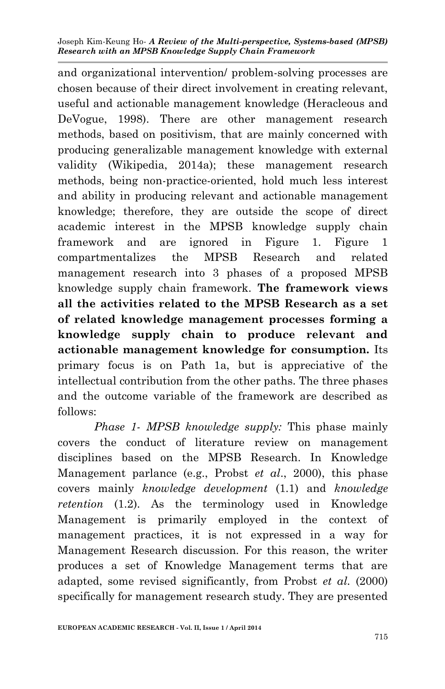and organizational intervention/ problem-solving processes are chosen because of their direct involvement in creating relevant, useful and actionable management knowledge (Heracleous and DeVogue, 1998). There are other management research methods, based on positivism, that are mainly concerned with producing generalizable management knowledge with external validity (Wikipedia, 2014a); these management research methods, being non-practice-oriented, hold much less interest and ability in producing relevant and actionable management knowledge; therefore, they are outside the scope of direct academic interest in the MPSB knowledge supply chain framework and are ignored in Figure 1. Figure 1 compartmentalizes the MPSB Research and related management research into 3 phases of a proposed MPSB knowledge supply chain framework. **The framework views all the activities related to the MPSB Research as a set of related knowledge management processes forming a knowledge supply chain to produce relevant and actionable management knowledge for consumption.** Its primary focus is on Path 1a, but is appreciative of the intellectual contribution from the other paths. The three phases and the outcome variable of the framework are described as follows:

*Phase 1- MPSB knowledge supply:* This phase mainly covers the conduct of literature review on management disciplines based on the MPSB Research. In Knowledge Management parlance (e.g., Probst *et al*., 2000), this phase covers mainly *knowledge development* (1.1) and *knowledge retention* (1.2). As the terminology used in Knowledge Management is primarily employed in the context of management practices, it is not expressed in a way for Management Research discussion. For this reason, the writer produces a set of Knowledge Management terms that are adapted, some revised significantly, from Probst *et al.* (2000) specifically for management research study. They are presented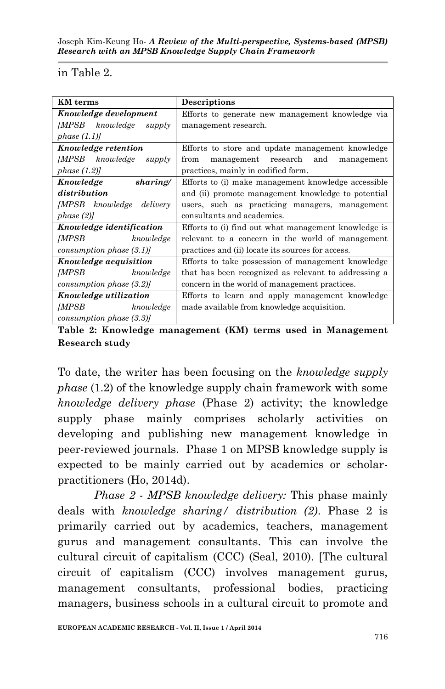#### in Table 2.

| <b>KM</b> terms                 | Descriptions                                         |  |  |
|---------------------------------|------------------------------------------------------|--|--|
| Knowledge development           | Efforts to generate new management knowledge via     |  |  |
| [MPSB knowledge<br>supply       | management research.                                 |  |  |
| phase $(1.1)$                   |                                                      |  |  |
|                                 |                                                      |  |  |
| Knowledge retention             | Efforts to store and update management knowledge     |  |  |
| [MPSB knowledge<br>supply       | management research and<br>from<br>management        |  |  |
| phase (1.2)                     | practices, mainly in codified form.                  |  |  |
| sharing/<br>Knowledge           | Efforts to (i) make management knowledge accessible  |  |  |
| distribution                    | and (ii) promote management knowledge to potential   |  |  |
| <i>IMPSB</i> knowledge delivery | users, such as practicing managers, management       |  |  |
| phase (2)                       | consultants and academics.                           |  |  |
| Knowledge identification        | Efforts to (i) find out what management knowledge is |  |  |
| [MPSB knowledge                 | relevant to a concern in the world of management     |  |  |
| consumption phase (3.1)         | practices and (ii) locate its sources for access.    |  |  |
| <i>Knowledge acquisition</i>    | Efforts to take possession of management knowledge   |  |  |
| [MPSB knowledge                 | that has been recognized as relevant to addressing a |  |  |
| consumption phase $(3.2)$       | concern in the world of management practices.        |  |  |
| <i>Knowledge utilization</i>    | Efforts to learn and apply management knowledge      |  |  |
| [MPSB knowledge                 | made available from knowledge acquisition.           |  |  |
| consumption phase (3.3)         |                                                      |  |  |

**Table 2: Knowledge management (KM) terms used in Management Research study**

To date, the writer has been focusing on the *knowledge supply phase* (1.2) of the knowledge supply chain framework with some *knowledge delivery phase* (Phase 2) activity; the knowledge supply phase mainly comprises scholarly activities on developing and publishing new management knowledge in peer-reviewed journals. Phase 1 on MPSB knowledge supply is expected to be mainly carried out by academics or scholarpractitioners (Ho, 2014d).

*Phase 2 - MPSB knowledge delivery:* This phase mainly deals with *knowledge sharing/ distribution (2)*. Phase 2 is primarily carried out by academics, teachers, management gurus and management consultants. This can involve the cultural circuit of capitalism (CCC) (Seal, 2010). [The cultural circuit of capitalism (CCC) involves management gurus, management consultants, professional bodies, practicing managers, business schools in a cultural circuit to promote and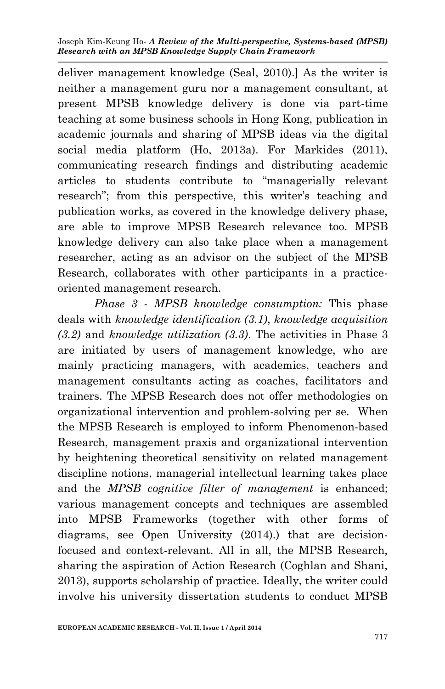deliver management knowledge (Seal, 2010).] As the writer is neither a management guru nor a management consultant, at present MPSB knowledge delivery is done via part-time teaching at some business schools in Hong Kong, publication in academic journals and sharing of MPSB ideas via the digital social media platform (Ho, 2013a). For Markides (2011), communicating research findings and distributing academic articles to students contribute to "managerially relevant research"; from this perspective, this writer's teaching and publication works, as covered in the knowledge delivery phase, are able to improve MPSB Research relevance too. MPSB knowledge delivery can also take place when a management researcher, acting as an advisor on the subject of the MPSB Research, collaborates with other participants in a practiceoriented management research.

*Phase 3 - MPSB knowledge consumption:* This phase deals with *knowledge identification (3.1)*, *knowledge acquisition (3.2)* and *knowledge utilization (3.3)*. The activities in Phase 3 are initiated by users of management knowledge, who are mainly practicing managers, with academics, teachers and management consultants acting as coaches, facilitators and trainers. The MPSB Research does not offer methodologies on organizational intervention and problem-solving per se. When the MPSB Research is employed to inform Phenomenon-based Research, management praxis and organizational intervention by heightening theoretical sensitivity on related management discipline notions, managerial intellectual learning takes place and the *MPSB cognitive filter of management* is enhanced; various management concepts and techniques are assembled into MPSB Frameworks (together with other forms of diagrams, see Open University (2014).) that are decisionfocused and context-relevant. All in all, the MPSB Research, sharing the aspiration of Action Research (Coghlan and Shani, 2013), supports scholarship of practice. Ideally, the writer could involve his university dissertation students to conduct MPSB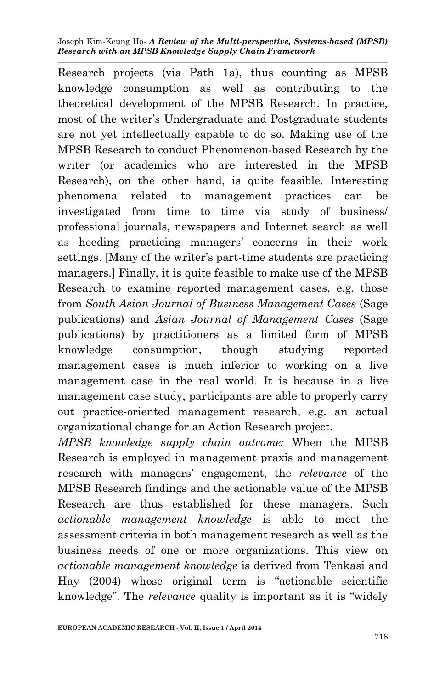Research projects (via Path 1a), thus counting as MPSB knowledge consumption as well as contributing to the theoretical development of the MPSB Research. In practice, most of the writer's Undergraduate and Postgraduate students are not yet intellectually capable to do so. Making use of the MPSB Research to conduct Phenomenon-based Research by the writer (or academics who are interested in the MPSB Research), on the other hand, is quite feasible. Interesting phenomena related to management practices can be investigated from time to time via study of business/ professional journals, newspapers and Internet search as well as heeding practicing managers' concerns in their work settings. [Many of the writer's part-time students are practicing managers.] Finally, it is quite feasible to make use of the MPSB Research to examine reported management cases, e.g. those from *South Asian Journal of Business Management Cases* (Sage publications) and *Asian Journal of Management Cases* (Sage publications) by practitioners as a limited form of MPSB knowledge consumption, though studying reported management cases is much inferior to working on a live management case in the real world. It is because in a live management case study, participants are able to properly carry out practice-oriented management research, e.g. an actual organizational change for an Action Research project.

*MPSB knowledge supply chain outcome:* When the MPSB Research is employed in management praxis and management research with managers' engagement, the *relevance* of the MPSB Research findings and the actionable value of the MPSB Research are thus established for these managers. Such *actionable management knowledge* is able to meet the assessment criteria in both management research as well as the business needs of one or more organizations. This view on *actionable management knowledge* is derived from Tenkasi and Hay (2004) whose original term is "actionable scientific knowledge". The *relevance* quality is important as it is "widely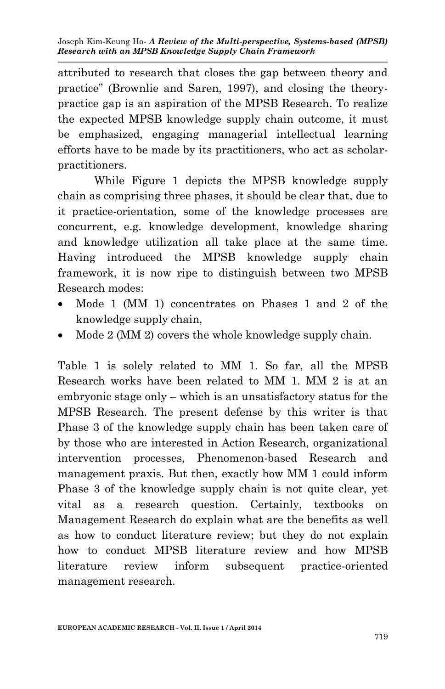attributed to research that closes the gap between theory and practice" (Brownlie and Saren, 1997), and closing the theorypractice gap is an aspiration of the MPSB Research. To realize the expected MPSB knowledge supply chain outcome, it must be emphasized, engaging managerial intellectual learning efforts have to be made by its practitioners, who act as scholarpractitioners.

While Figure 1 depicts the MPSB knowledge supply chain as comprising three phases, it should be clear that, due to it practice-orientation, some of the knowledge processes are concurrent, e.g. knowledge development, knowledge sharing and knowledge utilization all take place at the same time. Having introduced the MPSB knowledge supply chain framework, it is now ripe to distinguish between two MPSB Research modes:

- Mode 1 (MM 1) concentrates on Phases 1 and 2 of the knowledge supply chain,
- Mode 2 (MM 2) covers the whole knowledge supply chain.

Table 1 is solely related to MM 1. So far, all the MPSB Research works have been related to MM 1. MM 2 is at an embryonic stage only – which is an unsatisfactory status for the MPSB Research. The present defense by this writer is that Phase 3 of the knowledge supply chain has been taken care of by those who are interested in Action Research, organizational intervention processes, Phenomenon-based Research and management praxis. But then, exactly how MM 1 could inform Phase 3 of the knowledge supply chain is not quite clear, yet vital as a research question. Certainly, textbooks on Management Research do explain what are the benefits as well as how to conduct literature review; but they do not explain how to conduct MPSB literature review and how MPSB literature review inform subsequent practice-oriented management research.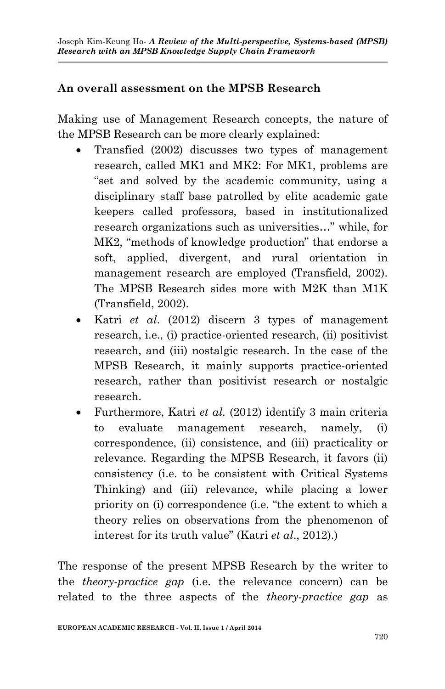### **An overall assessment on the MPSB Research**

Making use of Management Research concepts, the nature of the MPSB Research can be more clearly explained:

- Transfied (2002) discusses two types of management research, called MK1 and MK2: For MK1, problems are "set and solved by the academic community, using a disciplinary staff base patrolled by elite academic gate keepers called professors, based in institutionalized research organizations such as universities…" while, for MK2, "methods of knowledge production" that endorse a soft, applied, divergent, and rural orientation in management research are employed (Transfield, 2002). The MPSB Research sides more with M2K than M1K (Transfield, 2002).
- Katri *et al*. (2012) discern 3 types of management research, i.e., (i) practice-oriented research, (ii) positivist research, and (iii) nostalgic research. In the case of the MPSB Research, it mainly supports practice-oriented research, rather than positivist research or nostalgic research.
- Furthermore, Katri *et al.* (2012) identify 3 main criteria to evaluate management research, namely, (i) correspondence, (ii) consistence, and (iii) practicality or relevance. Regarding the MPSB Research, it favors (ii) consistency (i.e. to be consistent with Critical Systems Thinking) and (iii) relevance, while placing a lower priority on (i) correspondence (i.e. "the extent to which a theory relies on observations from the phenomenon of interest for its truth value" (Katri *et al*., 2012).)

The response of the present MPSB Research by the writer to the *theory-practice gap* (i.e. the relevance concern) can be related to the three aspects of the *theory-practice gap* as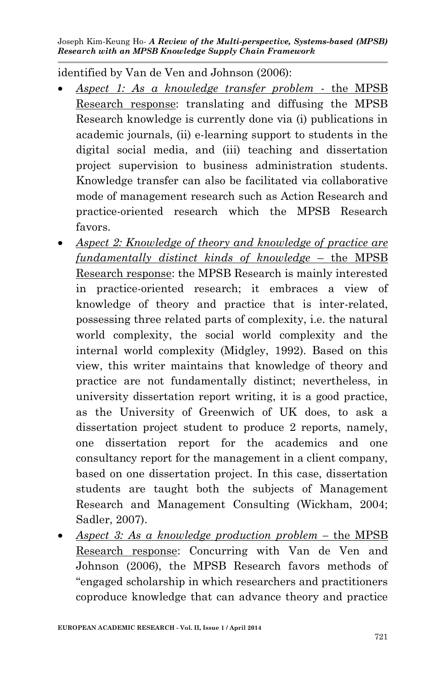identified by Van de Ven and Johnson (2006):

- *Aspect 1: As a knowledge transfer problem* the MPSB Research response: translating and diffusing the MPSB Research knowledge is currently done via (i) publications in academic journals, (ii) e-learning support to students in the digital social media, and (iii) teaching and dissertation project supervision to business administration students. Knowledge transfer can also be facilitated via collaborative mode of management research such as Action Research and practice-oriented research which the MPSB Research favors.
- *Aspect 2: Knowledge of theory and knowledge of practice are fundamentally distinct kinds of knowledge* – the MPSB Research response: the MPSB Research is mainly interested in practice-oriented research; it embraces a view of knowledge of theory and practice that is inter-related, possessing three related parts of complexity, i.e. the natural world complexity, the social world complexity and the internal world complexity (Midgley, 1992). Based on this view, this writer maintains that knowledge of theory and practice are not fundamentally distinct; nevertheless, in university dissertation report writing, it is a good practice, as the University of Greenwich of UK does, to ask a dissertation project student to produce 2 reports, namely, one dissertation report for the academics and one consultancy report for the management in a client company, based on one dissertation project. In this case, dissertation students are taught both the subjects of Management Research and Management Consulting (Wickham, 2004; Sadler, 2007).
- *Aspect 3: As a knowledge production problem –* the MPSB Research response: Concurring with Van de Ven and Johnson (2006), the MPSB Research favors methods of "engaged scholarship in which researchers and practitioners coproduce knowledge that can advance theory and practice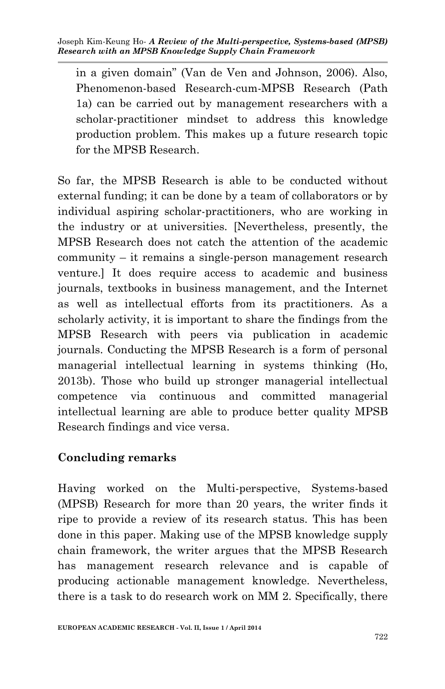in a given domain" (Van de Ven and Johnson, 2006). Also, Phenomenon-based Research-cum-MPSB Research (Path 1a) can be carried out by management researchers with a scholar-practitioner mindset to address this knowledge production problem. This makes up a future research topic for the MPSB Research.

So far, the MPSB Research is able to be conducted without external funding; it can be done by a team of collaborators or by individual aspiring scholar-practitioners, who are working in the industry or at universities. [Nevertheless, presently, the MPSB Research does not catch the attention of the academic community – it remains a single-person management research venture.] It does require access to academic and business journals, textbooks in business management, and the Internet as well as intellectual efforts from its practitioners. As a scholarly activity, it is important to share the findings from the MPSB Research with peers via publication in academic journals. Conducting the MPSB Research is a form of personal managerial intellectual learning in systems thinking (Ho, 2013b). Those who build up stronger managerial intellectual competence via continuous and committed managerial intellectual learning are able to produce better quality MPSB Research findings and vice versa.

## **Concluding remarks**

Having worked on the Multi-perspective, Systems-based (MPSB) Research for more than 20 years, the writer finds it ripe to provide a review of its research status. This has been done in this paper. Making use of the MPSB knowledge supply chain framework, the writer argues that the MPSB Research has management research relevance and is capable of producing actionable management knowledge. Nevertheless, there is a task to do research work on MM 2. Specifically, there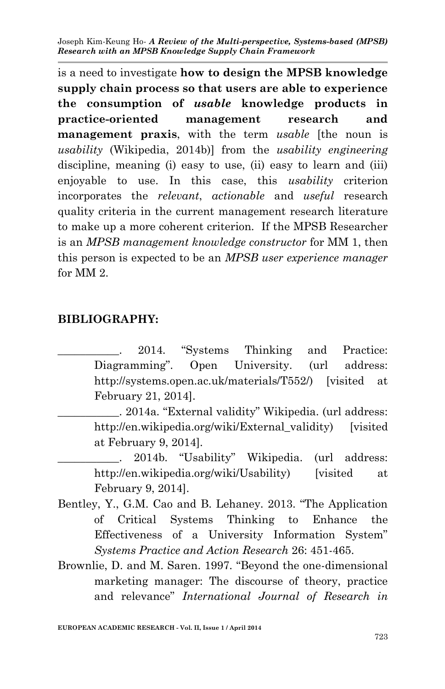is a need to investigate **how to design the MPSB knowledge supply chain process so that users are able to experience the consumption of** *usable* **knowledge products in practice-oriented management research and management praxis**, with the term *usable* [the noun is *usability* (Wikipedia, 2014b)] from the *usability engineering* discipline, meaning (i) easy to use, (ii) easy to learn and (iii) enjoyable to use. In this case, this *usability* criterion incorporates the *relevant*, *actionable* and *useful* research quality criteria in the current management research literature to make up a more coherent criterion. If the MPSB Researcher is an *MPSB management knowledge constructor* for MM 1, then this person is expected to be an *MPSB user experience manager* for MM 2.

#### **BIBLIOGRAPHY:**

2014. "Systems Thinking and Practice: Diagramming". Open University. (url address: http://systems.open.ac.uk/materials/T552/) [visited at February 21, 2014].

\_\_\_\_\_\_\_\_\_\_\_. 2014a. "External validity" Wikipedia. (url address: http://en.wikipedia.org/wiki/External\_validity) [visited] at February 9, 2014].

. 2014b. "Usability" Wikipedia. (url address: http://en.wikipedia.org/wiki/Usability) [visited at February 9, 2014].

- Bentley, Y., G.M. Cao and B. Lehaney. 2013. "The Application of Critical Systems Thinking to Enhance the Effectiveness of a University Information System" *Systems Practice and Action Research* 26: 451-465.
- Brownlie, D. and M. Saren. 1997. "Beyond the one-dimensional marketing manager: The discourse of theory, practice and relevance" *International Journal of Research in*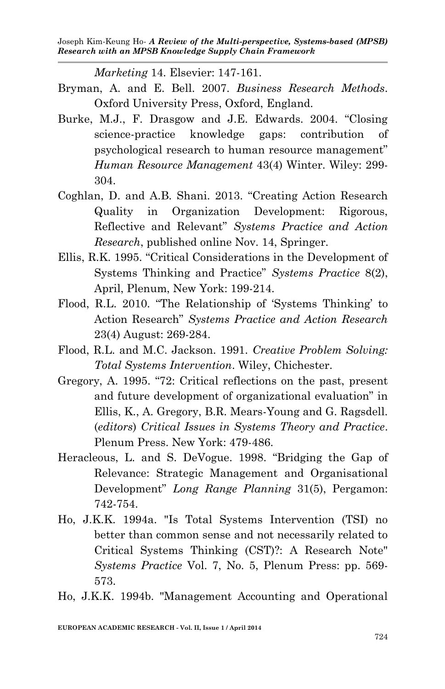*Marketing* 14. Elsevier: 147-161.

- Bryman, A. and E. Bell. 2007. *Business Research Methods*. Oxford University Press, Oxford, England.
- Burke, M.J., F. Drasgow and J.E. Edwards. 2004. "Closing science-practice knowledge gaps: contribution of psychological research to human resource management" *Human Resource Management* 43(4) Winter. Wiley: 299- 304.
- Coghlan, D. and A.B. Shani. 2013. "Creating Action Research Quality in Organization Development: Rigorous, Reflective and Relevant" *Systems Practice and Action Research*, published online Nov. 14, Springer.
- Ellis, R.K. 1995. "Critical Considerations in the Development of Systems Thinking and Practice" *Systems Practice* 8(2), April, Plenum, New York: 199-214.
- Flood, R.L. 2010. "The Relationship of 'Systems Thinking' to Action Research" *Systems Practice and Action Research* 23(4) August: 269-284.
- Flood, R.L. and M.C. Jackson. 1991. *Creative Problem Solving: Total Systems Intervention*. Wiley, Chichester.
- Gregory, A. 1995. "72: Critical reflections on the past, present and future development of organizational evaluation" in Ellis, K., A. Gregory, B.R. Mears-Young and G. Ragsdell. (*editors*) *Critical Issues in Systems Theory and Practice*. Plenum Press. New York: 479-486.
- Heracleous, L. and S. DeVogue. 1998. "Bridging the Gap of Relevance: Strategic Management and Organisational Development" *Long Range Planning* 31(5), Pergamon: 742-754.
- Ho, J.K.K. 1994a. "Is Total Systems Intervention (TSI) no better than common sense and not necessarily related to Critical Systems Thinking (CST)?: A Research Note" *Systems Practice* Vol. 7, No. 5, Plenum Press: pp. 569- 573.

Ho, J.K.K. 1994b. "Management Accounting and Operational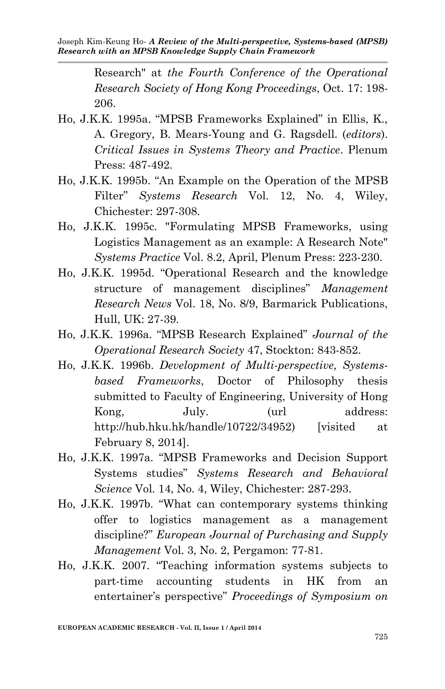Research" at *the Fourth Conference of the Operational Research Society of Hong Kong Proceedings*, Oct. 17: 198- 206.

- Ho, J.K.K. 1995a. "MPSB Frameworks Explained" in Ellis, K., A. Gregory, B. Mears-Young and G. Ragsdell. (*editors*). *Critical Issues in Systems Theory and Practice*. Plenum Press: 487-492.
- Ho, J.K.K. 1995b. "An Example on the Operation of the MPSB Filter" *Systems Research* Vol. 12, No. 4, Wiley, Chichester: 297-308.
- Ho, J.K.K. 1995c. "Formulating MPSB Frameworks, using Logistics Management as an example: A Research Note" *Systems Practice* Vol. 8.2, April, Plenum Press: 223-230.
- Ho, J.K.K. 1995d. "Operational Research and the knowledge structure of management disciplines" *Management Research News* Vol. 18, No. 8/9, Barmarick Publications, Hull, UK: 27-39.
- Ho, J.K.K. 1996a. "MPSB Research Explained" *Journal of the Operational Research Society* 47, Stockton: 843-852.
- Ho, J.K.K. 1996b. *Development of Multi-perspective, Systemsbased Frameworks*, Doctor of Philosophy thesis submitted to Faculty of Engineering, University of Hong Kong, July. (url address: http://hub.hku.hk/handle/10722/34952) [visited at February 8, 2014].
- Ho, J.K.K. 1997a. "MPSB Frameworks and Decision Support Systems studies" *Systems Research and Behavioral Science* Vol. 14, No. 4, Wiley, Chichester: 287-293.
- Ho, J.K.K. 1997b. "What can contemporary systems thinking offer to logistics management as a management discipline?" *European Journal of Purchasing and Supply Management* Vol. 3, No. 2, Pergamon: 77-81.
- Ho, J.K.K. 2007. "Teaching information systems subjects to part-time accounting students in HK from an entertainer's perspective" *Proceedings of Symposium on*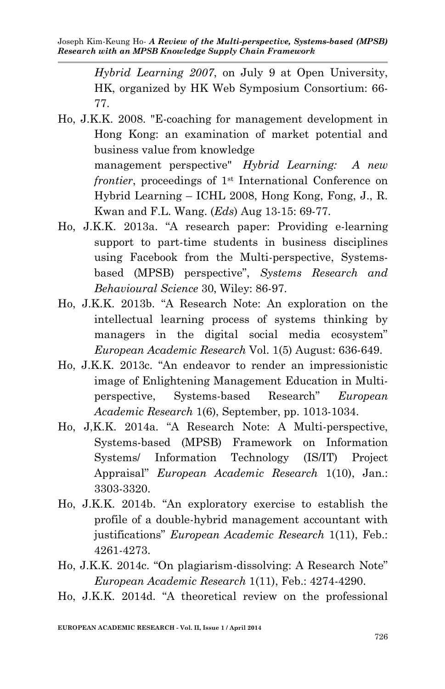*Hybrid Learning 2007*, on July 9 at Open University, HK, organized by HK Web Symposium Consortium: 66- 77.

- Ho, J.K.K. 2008. "E-coaching for management development in Hong Kong: an examination of market potential and business value from knowledge management perspective" *Hybrid Learning: A new frontier*, proceedings of 1<sup>st</sup> International Conference on Hybrid Learning – ICHL 2008, Hong Kong, Fong, J., R. Kwan and F.L. Wang. (*Eds*) Aug 13-15: 69-77.
- Ho, J.K.K. 2013a. "A research paper: Providing e-learning support to part-time students in business disciplines using Facebook from the Multi-perspective, Systemsbased (MPSB) perspective", *Systems Research and Behavioural Science* 30, Wiley: 86-97.
- Ho, J.K.K. 2013b. "A Research Note: An exploration on the intellectual learning process of systems thinking by managers in the digital social media ecosystem" *European Academic Research* Vol. 1(5) August: 636-649.
- Ho, J.K.K. 2013c. "An endeavor to render an impressionistic image of Enlightening Management Education in Multiperspective, Systems-based Research" *European Academic Research* 1(6), September, pp. 1013-1034.
- Ho, J,K.K. 2014a. "A Research Note: A Multi-perspective, Systems-based (MPSB) Framework on Information Systems/ Information Technology (IS/IT) Project Appraisal" *European Academic Research* 1(10), Jan.: 3303-3320.
- Ho, J.K.K. 2014b. "An exploratory exercise to establish the profile of a double-hybrid management accountant with justifications" *European Academic Research* 1(11), Feb.: 4261-4273.
- Ho, J.K.K. 2014c. "On plagiarism-dissolving: A Research Note" *European Academic Research* 1(11), Feb.: 4274-4290.
- Ho, J.K.K. 2014d. "A theoretical review on the professional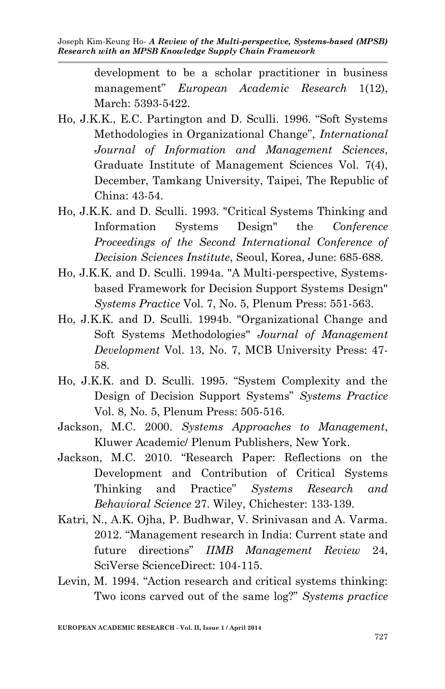development to be a scholar practitioner in business management" *European Academic Research* 1(12), March: 5393-5422.

- Ho, J.K.K., E.C. Partington and D. Sculli. 1996. "Soft Systems Methodologies in Organizational Change", *International Journal of Information and Management Sciences*, Graduate Institute of Management Sciences Vol. 7(4), December, Tamkang University, Taipei, The Republic of China: 43-54.
- Ho, J.K.K. and D. Sculli. 1993. "Critical Systems Thinking and Information Systems Design" the *Conference Proceedings of the Second International Conference of Decision Sciences Institute*, Seoul, Korea, June: 685-688.
- Ho, J.K.K. and D. Sculli. 1994a. "A Multi-perspective, Systemsbased Framework for Decision Support Systems Design" *Systems Practice* Vol. 7, No. 5, Plenum Press: 551-563.
- Ho, J.K.K. and D. Sculli. 1994b. "Organizational Change and Soft Systems Methodologies" *Journal of Management Development* Vol. 13, No. 7, MCB University Press: 47- 58.
- Ho, J.K.K. and D. Sculli. 1995. "System Complexity and the Design of Decision Support Systems" *Systems Practice* Vol. 8, No. 5, Plenum Press: 505-516.
- Jackson, M.C. 2000. *Systems Approaches to Management*, Kluwer Academic/ Plenum Publishers, New York.
- Jackson, M.C. 2010. "Research Paper: Reflections on the Development and Contribution of Critical Systems Thinking and Practice" *Systems Research and Behavioral Science* 27. Wiley, Chichester: 133-139.
- Katri, N., A.K. Ojha, P. Budhwar, V. Srinivasan and A. Varma. 2012. "Management research in India: Current state and future directions" *IIMB Management Review* 24, SciVerse ScienceDirect: 104-115.
- Levin, M. 1994. "Action research and critical systems thinking: Two icons carved out of the same log?" *Systems practice*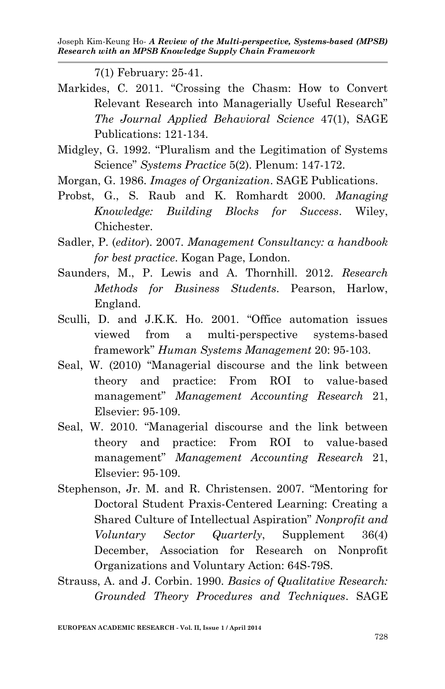7(1) February: 25-41.

- Markides, C. 2011. "Crossing the Chasm: How to Convert Relevant Research into Managerially Useful Research" *The Journal Applied Behavioral Science* 47(1), SAGE Publications: 121-134.
- Midgley, G. 1992. "Pluralism and the Legitimation of Systems Science" *Systems Practice* 5(2). Plenum: 147-172.
- Morgan, G. 1986. *Images of Organization*. SAGE Publications.
- Probst, G., S. Raub and K. Romhardt 2000. *Managing Knowledge: Building Blocks for Success*. Wiley, Chichester.
- Sadler, P. (*editor*). 2007. *Management Consultancy: a handbook for best practice*. Kogan Page, London.
- Saunders, M., P. Lewis and A. Thornhill. 2012. *Research Methods for Business Students*. Pearson, Harlow, England.
- Sculli, D. and J.K.K. Ho. 2001. "Office automation issues viewed from a multi-perspective systems-based framework" *Human Systems Management* 20: 95-103.
- Seal, W. (2010) "Managerial discourse and the link between theory and practice: From ROI to value-based management" *Management Accounting Research* 21, Elsevier: 95-109.
- Seal, W. 2010. "Managerial discourse and the link between theory and practice: From ROI to value-based management" *Management Accounting Research* 21, Elsevier: 95-109.
- Stephenson, Jr. M. and R. Christensen. 2007. "Mentoring for Doctoral Student Praxis-Centered Learning: Creating a Shared Culture of Intellectual Aspiration" *Nonprofit and Voluntary Sector Quarterly*, Supplement 36(4) December, Association for Research on Nonprofit Organizations and Voluntary Action: 64S-79S.
- Strauss, A. and J. Corbin. 1990. *Basics of Qualitative Research: Grounded Theory Procedures and Techniques*. SAGE